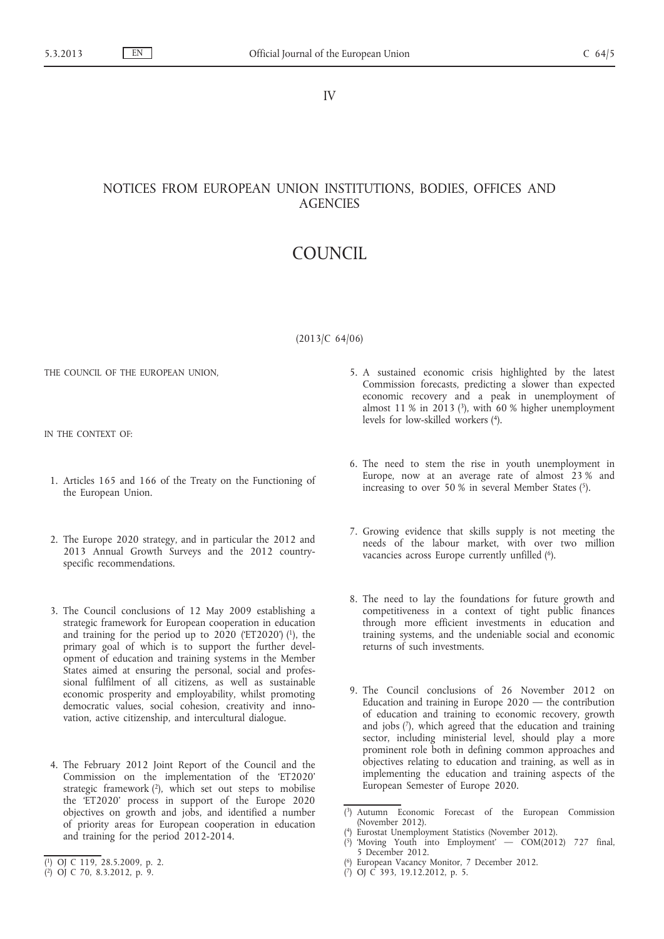IV

(Notices)

## NOTICES FROM EUROPEAN UNION INSTITUTIONS, BODIES, OFFICES AND **AGENCIES**

# COUNCIL

Council Conclusions on investing in education and training — a response to 'Rethinking Education: Investing in skills for better socio-economic outcomes' and the '2013 Annual Growth Survey'

(2013/C 64/06)

THE COUNCIL OF THE EUROPEAN UNION,

IN THE CONTEXT OF:

- 1. Articles 165 and 166 of the Treaty on the Functioning of the European Union.
- 2. The Europe 2020 strategy, and in particular the 2012 and 2013 Annual Growth Surveys and the 2012 countryspecific recommendations.
- 3. The Council conclusions of 12 May 2009 establishing a strategic framework for European cooperation in education and training for the period up to  $2020$  (ET2020') (1), the primary goal of which is to support the further development of education and training systems in the Member States aimed at ensuring the personal, social and professional fulfilment of all citizens, as well as sustainable economic prosperity and employability, whilst promoting democratic values, social cohesion, creativity and innovation, active citizenship, and intercultural dialogue.
- 4. The February 2012 Joint Report of the Council and the Commission on the implementation of the 'ET2020' strategic framework  $(2)$ , which set out steps to mobilise the 'ET2020' process in support of the Europe 2020 objectives on growth and jobs, and identified a number of priority areas for European cooperation in education and training for the period 2012-2014.
- 5. A sustained economic crisis highlighted by the latest Commission forecasts, predicting a slower than expected economic recovery and a peak in unemployment of almost 11 % in 2013 ( $3$ ), with 60 % higher unemployment levels for low-skilled workers (4).
- 6. The need to stem the rise in youth unemployment in Europe, now at an average rate of almost 23 % and increasing to over 50 % in several Member States  $(5)$ .
- 7. Growing evidence that skills supply is not meeting the needs of the labour market, with over two million vacancies across Europe currently unfilled (6).
- 8. The need to lay the foundations for future growth and competitiveness in a context of tight public finances through more efficient investments in education and training systems, and the undeniable social and economic returns of such investments.
- 9. The Council conclusions of 26 November 2012 on Education and training in Europe 2020 — the contribution of education and training to economic recovery, growth and jobs (7), which agreed that the education and training sector, including ministerial level, should play a more prominent role both in defining common approaches and objectives relating to education and training, as well as in implementing the education and training aspects of the European Semester of Europe 2020.

<sup>(</sup> 1) OJ C 119, 28.5.2009, p. 2.

<sup>(</sup> 2) OJ C 70, 8.3.2012, p. 9.

<sup>(</sup> 3) Autumn Economic Forecast of the European Commission (November 2012).

<sup>(</sup> 4) Eurostat Unemployment Statistics (November 2012).

<sup>(</sup> 5) 'Moving Youth into Employment' — COM(2012) 727 final, 5 December 2012.

<sup>(</sup> 6) European Vacancy Monitor, 7 December 2012.

<sup>(</sup> 7) OJ C 393, 19.12.2012, p. 5.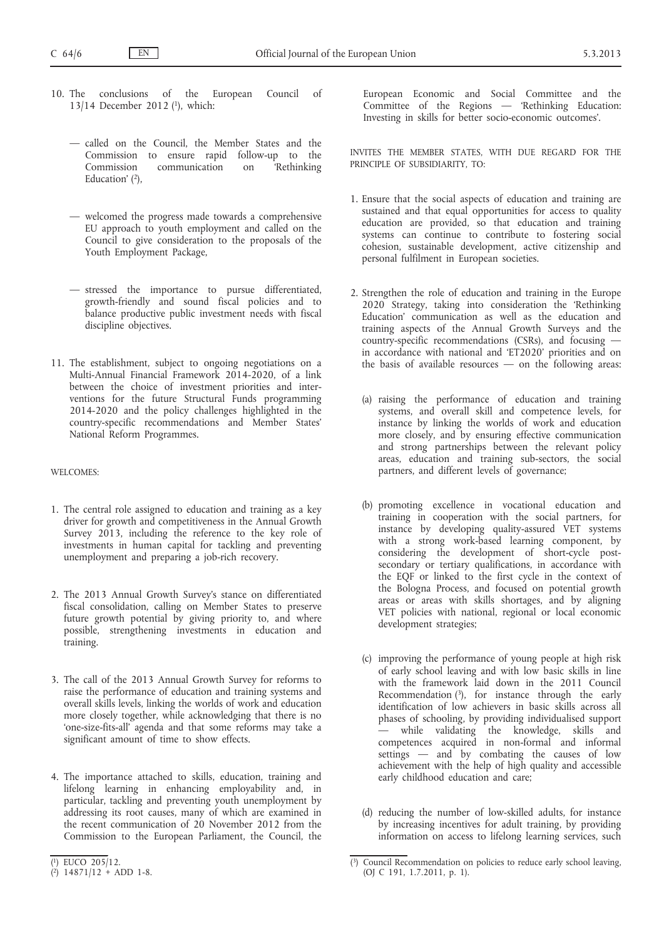- 10. The conclusions of the European Council of 13/14 December 2012 (1), which:
	- called on the Council, the Member States and the Commission to ensure rapid follow-up to the Commission communication on 'Rethinking Education' <sup>(2)</sup>,
	- welcomed the progress made towards a comprehensive EU approach to youth employment and called on the Council to give consideration to the proposals of the Youth Employment Package,
	- stressed the importance to pursue differentiated, growth-friendly and sound fiscal policies and to balance productive public investment needs with fiscal discipline objectives.
- 11. The establishment, subject to ongoing negotiations on a Multi-Annual Financial Framework 2014-2020, of a link between the choice of investment priorities and interventions for the future Structural Funds programming 2014-2020 and the policy challenges highlighted in the country-specific recommendations and Member States' National Reform Programmes.

#### WELCOMES:

- 1. The central role assigned to education and training as a key driver for growth and competitiveness in the Annual Growth Survey 2013, including the reference to the key role of investments in human capital for tackling and preventing unemployment and preparing a job-rich recovery.
- 2. The 2013 Annual Growth Survey's stance on differentiated fiscal consolidation, calling on Member States to preserve future growth potential by giving priority to, and where possible, strengthening investments in education and training.
- 3. The call of the 2013 Annual Growth Survey for reforms to raise the performance of education and training systems and overall skills levels, linking the worlds of work and education more closely together, while acknowledging that there is no 'one-size-fits-all' agenda and that some reforms may take a significant amount of time to show effects.
- 4. The importance attached to skills, education, training and lifelong learning in enhancing employability and, in particular, tackling and preventing youth unemployment by addressing its root causes, many of which are examined in the recent communication of 20 November 2012 from the Commission to the European Parliament, the Council, the

European Economic and Social Committee and the Committee of the Regions — 'Rethinking Education: Investing in skills for better socio-economic outcomes'.

INVITES THE MEMBER STATES, WITH DUE REGARD FOR THE PRINCIPLE OF SUBSIDIARITY, TO:

- 1. Ensure that the social aspects of education and training are sustained and that equal opportunities for access to quality education are provided, so that education and training systems can continue to contribute to fostering social cohesion, sustainable development, active citizenship and personal fulfilment in European societies.
- 2. Strengthen the role of education and training in the Europe 2020 Strategy, taking into consideration the 'Rethinking Education' communication as well as the education and training aspects of the Annual Growth Surveys and the country-specific recommendations (CSRs), and focusing in accordance with national and 'ET2020' priorities and on the basis of available resources  $-$  on the following areas:
	- (a) raising the performance of education and training systems, and overall skill and competence levels, for instance by linking the worlds of work and education more closely, and by ensuring effective communication and strong partnerships between the relevant policy areas, education and training sub-sectors, the social partners, and different levels of governance;
	- (b) promoting excellence in vocational education and training in cooperation with the social partners, for instance by developing quality-assured VET systems with a strong work-based learning component, by considering the development of short-cycle postsecondary or tertiary qualifications, in accordance with the EQF or linked to the first cycle in the context of the Bologna Process, and focused on potential growth areas or areas with skills shortages, and by aligning VET policies with national, regional or local economic development strategies;
	- (c) improving the performance of young people at high risk of early school leaving and with low basic skills in line with the framework laid down in the 2011 Council Recommendation  $(3)$ , for instance through the early identification of low achievers in basic skills across all phases of schooling, by providing individualised support  $\frac{1}{x}$  while validating the knowledge, skills and competences acquired in non-formal and informal settings — and by combating the causes of low achievement with the help of high quality and accessible early childhood education and care;
	- (d) reducing the number of low-skilled adults, for instance by increasing incentives for adult training, by providing information on access to lifelong learning services, such

<sup>(</sup> 1) EUCO 205/12.

<sup>(</sup> 2) 14871/12 + ADD 1-8.

<sup>(</sup> 3) Council Recommendation on policies to reduce early school leaving, (OJ C 191, 1.7.2011, p. 1).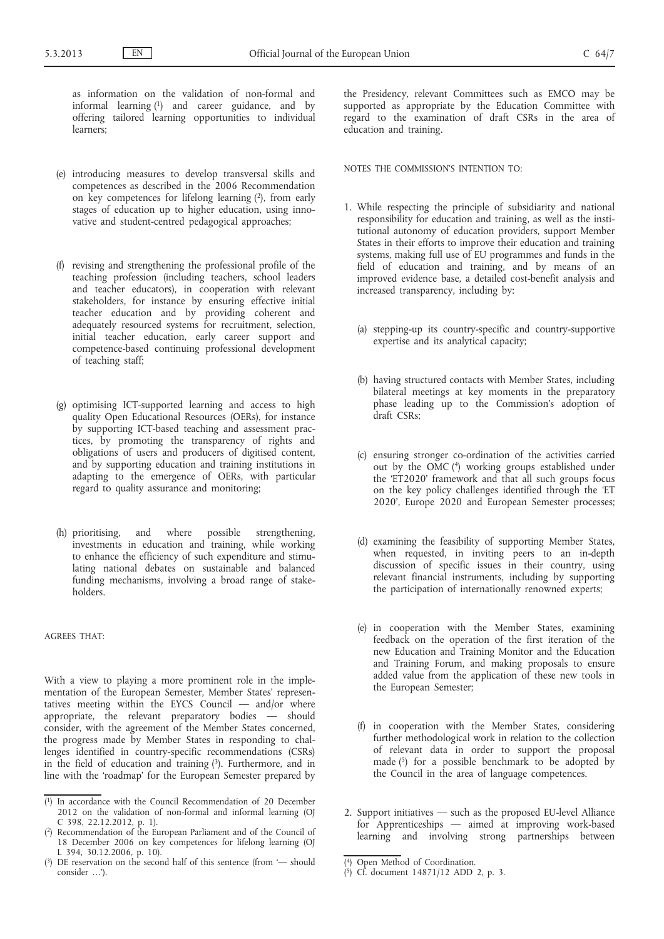as information on the validation of non-formal and informal learning (1) and career guidance, and by offering tailored learning opportunities to individual learners;

- (e) introducing measures to develop transversal skills and competences as described in the 2006 Recommendation on key competences for lifelong learning  $(2)$ , from early stages of education up to higher education, using innovative and student-centred pedagogical approaches;
- (f) revising and strengthening the professional profile of the teaching profession (including teachers, school leaders and teacher educators), in cooperation with relevant stakeholders, for instance by ensuring effective initial teacher education and by providing coherent and adequately resourced systems for recruitment, selection, initial teacher education, early career support and competence-based continuing professional development of teaching staff;
- (g) optimising ICT-supported learning and access to high quality Open Educational Resources (OERs), for instance by supporting ICT-based teaching and assessment practices, by promoting the transparency of rights and obligations of users and producers of digitised content, and by supporting education and training institutions in adapting to the emergence of OERs, with particular regard to quality assurance and monitoring;
- (h) prioritising, and where possible strengthening, investments in education and training, while working to enhance the efficiency of such expenditure and stimulating national debates on sustainable and balanced funding mechanisms, involving a broad range of stakeholders.

#### AGREES THAT:

With a view to playing a more prominent role in the implementation of the European Semester, Member States' representatives meeting within the EYCS Council — and/or where appropriate, the relevant preparatory bodies — should consider, with the agreement of the Member States concerned, the progress made by Member States in responding to challenges identified in country-specific recommendations (CSRs) in the field of education and training (3). Furthermore, and in line with the 'roadmap' for the European Semester prepared by

the Presidency, relevant Committees such as EMCO may be supported as appropriate by the Education Committee with regard to the examination of draft CSRs in the area of education and training.

NOTES THE COMMISSION'S INTENTION TO:

- 1. While respecting the principle of subsidiarity and national responsibility for education and training, as well as the institutional autonomy of education providers, support Member States in their efforts to improve their education and training systems, making full use of EU programmes and funds in the field of education and training, and by means of an improved evidence base, a detailed cost-benefit analysis and increased transparency, including by:
	- (a) stepping-up its country-specific and country-supportive expertise and its analytical capacity;
	- (b) having structured contacts with Member States, including bilateral meetings at key moments in the preparatory phase leading up to the Commission's adoption of draft CSRs;
	- (c) ensuring stronger co-ordination of the activities carried out by the OMC (4) working groups established under the 'ET2020' framework and that all such groups focus on the key policy challenges identified through the 'ET 2020', Europe 2020 and European Semester processes;
	- (d) examining the feasibility of supporting Member States, when requested, in inviting peers to an in-depth discussion of specific issues in their country, using relevant financial instruments, including by supporting the participation of internationally renowned experts;
	- (e) in cooperation with the Member States, examining feedback on the operation of the first iteration of the new Education and Training Monitor and the Education and Training Forum, and making proposals to ensure added value from the application of these new tools in the European Semester;
	- (f) in cooperation with the Member States, considering further methodological work in relation to the collection of relevant data in order to support the proposal made  $(5)$  for a possible benchmark to be adopted by the Council in the area of language competences.
- 2. Support initiatives such as the proposed EU-level Alliance for Apprenticeships — aimed at improving work-based learning and involving strong partnerships between

<sup>(</sup> 1) In accordance with the Council Recommendation of 20 December 2012 on the validation of non-formal and informal learning (OJ C 398, 22.12.2012, p. 1).

<sup>(</sup> 2) Recommendation of the European Parliament and of the Council of 18 December 2006 on key competences for lifelong learning (OJ L 394, 30.12.2006, p. 10).

<sup>(</sup> 3) DE reservation on the second half of this sentence (from '— should consider …').

<sup>(</sup> 4) Open Method of Coordination.

<sup>(</sup> 5) Cf. document 14871/12 ADD 2, p. 3.